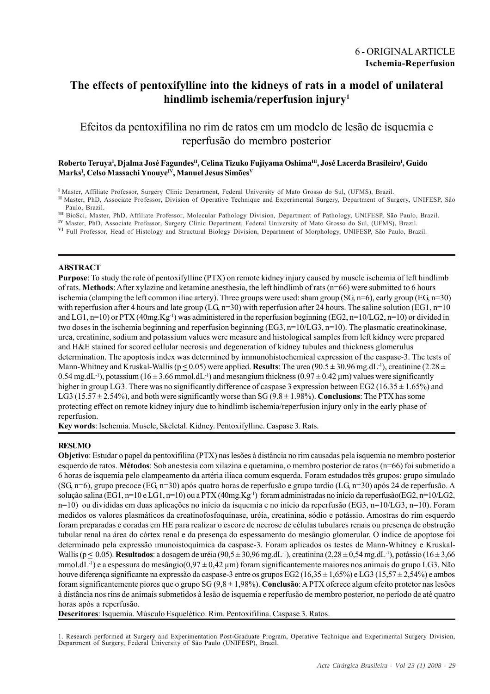# **The effects of pentoxifylline into the kidneys of rats in a model of unilateral hindlimb ischemia/reperfusion injury1**

Efeitos da pentoxifilina no rim de ratos em um modelo de lesão de isquemia e reperfusão do membro posterior

## $\bold{R}$ oberto Teruya<sup>ı</sup>, Djalma José Fagundes<sup>ıı</sup>, Celina Tizuko Fujiyama Oshima<sup>ın</sup>, José Lacerda Brasileiro<sup>ı</sup>, Guido **MarksI , Celso Massachi YnouyeIV, Manuel Jesus SimõesV**

**<sup>I</sup>**Master, Affiliate Professor, Surgery Clinic Department, Federal University of Mato Grosso do Sul, (UFMS), Brazil.

**II** Master, PhD, Associate Professor, Division of Operative Technique and Experimental Surgery, Department of Surgery, UNIFESP, São Paulo, Brazil.

**III** BioSci, Master, PhD, Affiliate Professor, Molecular Pathology Division, Department of Pathology, UNIFESP, São Paulo, Brazil.

**IV** Master, PhD, Associate Professor, Surgery Clinic Department, Federal University of Mato Grosso do Sul, (UFMS), Brazil.

**VI** Full Professor, Head of Histology and Structural Biology Division, Department of Morphology, UNIFESP, São Paulo, Brazil.

## **ABSTRACT**

**Purpose**: To study the role of pentoxifylline (PTX) on remote kidney injury caused by muscle ischemia of left hindlimb of rats. **Methods**: After xylazine and ketamine anesthesia, the left hindlimb of rats (n=66) were submitted to 6 hours ischemia (clamping the left common iliac artery). Three groups were used: sham group (SG, n=6), early group (EG, n=30) with reperfusion after 4 hours and late group (LG,  $n=30$ ) with reperfusion after 24 hours. The saline solution (EG1,  $n=10$ ) and LG1, n=10) or PTX (40mg.Kg<sup>-1</sup>) was administered in the reperfusion beginning (EG2, n=10/LG2, n=10) or divided in two doses in the ischemia beginning and reperfusion beginning (EG3, n=10/LG3, n=10). The plasmatic creatinokinase, urea, creatinine, sodium and potassium values were measure and histological samples from left kidney were prepared and H&E stained for scored cellular necrosis and degeneration of kidney tubules and thickness glomerulus determination. The apoptosis index was determined by immunohistochemical expression of the caspase-3. The tests of Mann-Whitney and Kruskal-Wallis ( $p \le 0.05$ ) were applied. **Results**: The urea ( $90.5 \pm 30.96$  mg.dL<sup>-1</sup>), creatinine (2.28  $\pm$ 0.54 mg.dL<sup>-1</sup>), potassium (16 ± 3.66 mmol.dL<sup>-1</sup>) and mesangium thickness (0.97 ± 0.42 µm) values were significantly higher in group LG3. There was no significantly difference of caspase 3 expression between EG2 (16.35  $\pm$  1.65%) and LG3 (15.57 ± 2.54%), and both were significantly worse than SG (9.8 ± 1.98%). **Conclusions**: The PTX has some protecting effect on remote kidney injury due to hindlimb ischemia/reperfusion injury only in the early phase of reperfusion.

**Key words**: Ischemia. Muscle, Skeletal. Kidney. Pentoxifylline. Caspase 3. Rats.

## **RESUMO**

**Objetivo**: Estudar o papel da pentoxifilina (PTX) nas lesões à distância no rim causadas pela isquemia no membro posterior esquerdo de ratos. **Métodos**: Sob anestesia com xilazina e quetamina, o membro posterior de ratos (n=66) foi submetido a 6 horas de isquemia pelo clampeamento da artéria ilíaca comum esquerda. Foram estudados três grupos: grupo simulado (SG, n=6), grupo precoce (EG, n=30) após quatro horas de reperfusão e grupo tardio (LG, n=30) após 24 de reperfusão. A solução salina (EG1, n=10 e LG1, n=10) ou a PTX (40mg.Kg<sup>-1</sup>) foram administradas no início da reperfusão(EG2, n=10/LG2, n=10) ou divididas em duas aplicações no início da isquemia e no início da reperfusão (EG3, n=10/LG3, n=10). Foram medidos os valores plasmáticos da creatinofosfoquinase, uréia, creatinina, sódio e potássio. Amostras do rim esquerdo foram preparadas e coradas em HE para realizar o escore de necrose de células tubulares renais ou presença de obstrução tubular renal na área do córtex renal e da presença do espessamento do mesângio glomerular. O índice de apoptose foi determinado pela expressão imunoistoquímica da caspase-3. Foram aplicados os testes de Mann-Whitney e Kruskal-Wallis ( $p \le 0.05$ ). **Resultados**: a dosagem de uréia (90,5 ± 30,96 mg.dL<sup>-1</sup>), creatinina (2,28 ± 0,54 mg.dL<sup>-1</sup>), potássio (16 ± 3,66 mmol.dL<sup>-1</sup>) e a espessura do mesângio(0,97 ± 0,42 µm) foram significantemente maiores nos animais do grupo LG3. Não houve diferença significante na expressão da caspase-3 entre os grupos EG2 (16,35  $\pm$  1,65%) e LG3 (15,57  $\pm$  2,54%) e ambos foram significantemente piores que o grupo SG (9,8 ± 1,98%). **Conclusão**: A PTX oferece algum efeito protetor nas lesões à distância nos rins de animais submetidos à lesão de isquemia e reperfusão de membro posterior, no período de até quatro horas após a reperfusão.

**Descritores**: Isquemia. Músculo Esquelético. Rim. Pentoxifilina. Caspase 3. Ratos.

1. Research performed at Surgery and Experimentation Post-Graduate Program, Operative Technique and Experimental Surgery Division, Department of Surgery, Federal University of São Paulo (UNIFESP), Brazil.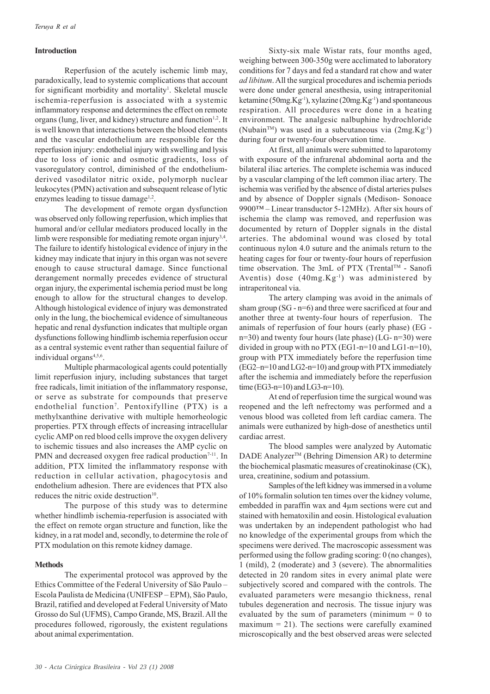### **Introduction**

Reperfusion of the acutely ischemic limb may, paradoxically, lead to systemic complications that account for significant morbidity and mortality<sup>1</sup>. Skeletal muscle ischemia-reperfusion is associated with a systemic inflammatory response and determines the effect on remote organs (lung, liver, and kidney) structure and function<sup>1,2</sup>. It is well known that interactions between the blood elements and the vascular endothelium are responsible for the reperfusion injury: endothelial injury with swelling and lysis due to loss of ionic and osmotic gradients, loss of vasoregulatory control, diminished of the endotheliumderived vasodilator nitric oxide, polymorph nuclear leukocytes (PMN) activation and subsequent release of lytic enzymes leading to tissue damage<sup>1,2</sup>.

The development of remote organ dysfunction was observed only following reperfusion, which implies that humoral and/or cellular mediators produced locally in the limb were responsible for mediating remote organ injury<sup>3,4</sup>. The failure to identify histological evidence of injury in the kidney may indicate that injury in this organ was not severe enough to cause structural damage. Since functional derangement normally precedes evidence of structural organ injury, the experimental ischemia period must be long enough to allow for the structural changes to develop. Although histological evidence of injury was demonstrated only in the lung, the biochemical evidence of simultaneous hepatic and renal dysfunction indicates that multiple organ dysfunctions following hindlimb ischemia reperfusion occur as a central systemic event rather than sequential failure of individual organs<sup>4,5,6</sup>.

Multiple pharmacological agents could potentially limit reperfusion injury, including substances that target free radicals, limit initiation of the inflammatory response, or serve as substrate for compounds that preserve endothelial function<sup>7</sup>. Pentoxifylline (PTX) is a methylxanthine derivative with multiple hemorheologic properties. PTX through effects of increasing intracellular cyclic AMP on red blood cells improve the oxygen delivery to ischemic tissues and also increases the AMP cyclic on PMN and decreased oxygen free radical production<sup>7-11</sup>. In addition, PTX limited the inflammatory response with reduction in cellular activation, phagocytosis and endothelium adhesion. There are evidences that PTX also reduces the nitric oxide destruction<sup>10</sup>.

The purpose of this study was to determine whether hindlimb ischemia-reperfusion is associated with the effect on remote organ structure and function, like the kidney, in a rat model and, secondly, to determine the role of PTX modulation on this remote kidney damage.

#### **Methods**

The experimental protocol was approved by the Ethics Committee of the Federal University of São Paulo – Escola Paulista de Medicina (UNIFESP – EPM), São Paulo, Brazil, ratified and developed at Federal University of Mato Grosso do Sul (UFMS), Campo Grande, MS, Brazil. All the procedures followed, rigorously, the existent regulations about animal experimentation.

Sixty-six male Wistar rats, four months aged, weighing between 300-350g were acclimated to laboratory conditions for 7 days and fed a standard rat chow and water *ad libitum*. All the surgical procedures and ischemia periods were done under general anesthesia, using intraperitonial ketamine (50mg.Kg<sup>-1</sup>), xylazine (20mg.Kg<sup>-1</sup>) and spontaneous respiration. All procedures were done in a heating environment. The analgesic nalbuphine hydrochloride (Nubain<sup>TM</sup>) was used in a subcutaneous via  $(2mg.Kg^{-1})$ during four or twenty-four observation time.

At first, all animals were submitted to laparotomy with exposure of the infrarenal abdominal aorta and the bilateral iliac arteries. The complete ischemia was induced by a vascular clamping of the left common iliac artery. The ischemia was verified by the absence of distal arteries pulses and by absence of Doppler signals (Medison- Sonoace 9900™ – Linear transductor 5-12MHz). After six hours of ischemia the clamp was removed, and reperfusion was documented by return of Doppler signals in the distal arteries. The abdominal wound was closed by total continuous nylon 4.0 suture and the animals return to the heating cages for four or twenty-four hours of reperfusion time observation. The 3mL of PTX (Trental<sup>TM</sup> - Sanofi Aventis) dose  $(40mg.Kg^{-1})$  was administered by intraperitoneal via.

The artery clamping was avoid in the animals of sham group (SG - n=6) and three were sacrificed at four and another three at twenty-four hours of reperfusion. The animals of reperfusion of four hours (early phase) (EG n=30) and twenty four hours (late phase) (LG- n=30) were divided in group with no PTX (EG1-n=10 and LG1-n=10), group with PTX immediately before the reperfusion time (EG2–n=10 and LG2-n=10) and group with PTX immediately after the ischemia and immediately before the reperfusion time (EG3-n=10) and LG3-n=10).

At end of reperfusion time the surgical wound was reopened and the left nefrectomy was performed and a venous blood was colleted from left cardiac camera. The animals were euthanized by high-dose of anesthetics until cardiac arrest.

The blood samples were analyzed by Automatic DADE Analyzer<sup>TM</sup> (Behring Dimension AR) to determine the biochemical plasmatic measures of creatinokinase (CK), urea, creatinine, sodium and potassium.

Samples of the left kidney was immersed in a volume of 10% formalin solution ten times over the kidney volume, embedded in paraffin wax and 4µm sections were cut and stained with hematoxilin and eosin. Histological evaluation was undertaken by an independent pathologist who had no knowledge of the experimental groups from which the specimens were derived. The macroscopic assessment was performed using the follow grading scoring: 0 (no changes), 1 (mild), 2 (moderate) and 3 (severe). The abnormalities detected in 20 random sites in every animal plate were subjectively scored and compared with the controls. The evaluated parameters were mesangio thickness, renal tubules degeneration and necrosis. The tissue injury was evaluated by the sum of parameters (minimum  $= 0$  to maximum  $= 21$ ). The sections were carefully examined microscopically and the best observed areas were selected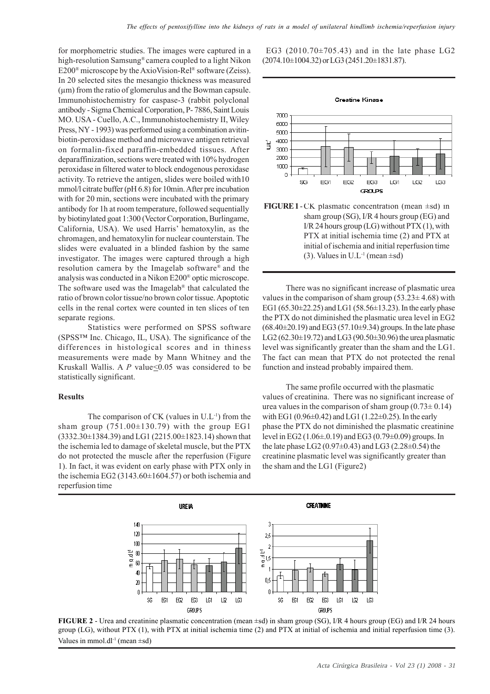for morphometric studies. The images were captured in a high-resolution Samsung® camera coupled to a light Nikon E200® microscope by the AxioVision-Rel® software (Zeiss). In 20 selected sites the mesangio thickness was measured (µm) from the ratio of glomerulus and the Bowman capsule. Immunohistochemistry for caspase-3 (rabbit polyclonal antibody - Sigma Chemical Corporation, P- 7886, Saint Louis MO. USA - Cuello, A.C., Immunohistochemistry II, Wiley Press, NY - 1993) was performed using a combination avitinbiotin-peroxidase method and microwave antigen retrieval on formalin-fixed paraffin-embedded tissues. After deparaffinization, sections were treated with 10% hydrogen peroxidase in filtered water to block endogenous peroxidase activity. To retrieve the antigen, slides were boiled with10 mmol/l citrate buffer (pH 6.8) for 10min. After pre incubation with for 20 min, sections were incubated with the primary antibody for 1h at room temperature, followed sequentially by biotinylated goat 1:300 (Vector Corporation, Burlingame, California, USA). We used Harris' hematoxylin, as the chromagen, and hematoxylin for nuclear counterstain. The slides were evaluated in a blinded fashion by the same investigator. The images were captured through a high resolution camera by the Imagelab software® and the analysis was conducted in a Nikon E200® optic microscope. The software used was the Imagelab® that calculated the ratio of brown color tissue/no brown color tissue. Apoptotic cells in the renal cortex were counted in ten slices of ten separate regions.

Statistics were performed on SPSS software (SPSS™ Inc. Chicago, IL, USA). The significance of the differences in histological scores and in thiness measurements were made by Mann Whitney and the Kruskall Wallis. A *P* value<0.05 was considered to be statistically significant.

#### **Results**

The comparison of  $CK$  (values in  $UL^{-1}$ ) from the sham group  $(751.00 \pm 130.79)$  with the group EG1 (3332.30±1384.39) and LG1 (2215.00±1823.14) shown that the ischemia led to damage of skeletal muscle, but the PTX do not protected the muscle after the reperfusion (Figure 1). In fact, it was evident on early phase with PTX only in the ischemia EG2 (3143.60 $\pm$ 1604.57) or both ischemia and reperfusion time

EG3  $(2010.70\pm705.43)$  and in the late phase LG2 (2074.10±1004.32) or LG3 (2451.20±1831.87).



**FIGURE 1** - CK plasmatic concentration (mean  $\pm$ sd) in sham group (SG), I/R 4 hours group (EG) and I/R 24 hours group  $(LG)$  without  $PTX(1)$ , with PTX at initial ischemia time (2) and PTX at initial of ischemia and initial reperfusion time (3). Values in  $U.L^{-1}$  (mean  $\pm$ sd)

There was no significant increase of plasmatic urea values in the comparison of sham group  $(53.23 \pm 4.68)$  with EG1 (65.30±22.25) and LG1 (58.56±13.23). In the early phase the PTX do not diminished the plasmatic urea level in EG2  $(68.40\pm20.19)$  and EG3 (57.10 $\pm$ 9.34) groups. In the late phase LG2 (62.30±19.72) and LG3 (90.50±30.96) the urea plasmatic level was significantly greater than the sham and the LG1. The fact can mean that PTX do not protected the renal function and instead probably impaired them.

The same profile occurred with the plasmatic values of creatinina. There was no significant increase of urea values in the comparison of sham group  $(0.73 \pm 0.14)$ with EG1 (0.96 $\pm$ 0.42) and LG1 (1.22 $\pm$ 0.25). In the early phase the PTX do not diminished the plasmatic creatinine level in EG2 (1.06±.0.19) and EG3 (0.79±0.09) groups. In the late phase LG2 (0.97±0.43) and LG3 (2.28±0.54) the creatinine plasmatic level was significantly greater than the sham and the LG1 (Figure2)



**FIGURE 2** - Urea and creatinine plasmatic concentration (mean ±sd) in sham group (SG), I/R 4 hours group (EG) and I/R 24 hours group (LG), without PTX (1), with PTX at initial ischemia time (2) and PTX at initial of ischemia and initial reperfusion time (3). Values in mmol.dl<sup>-1</sup> (mean  $\pm$ sd)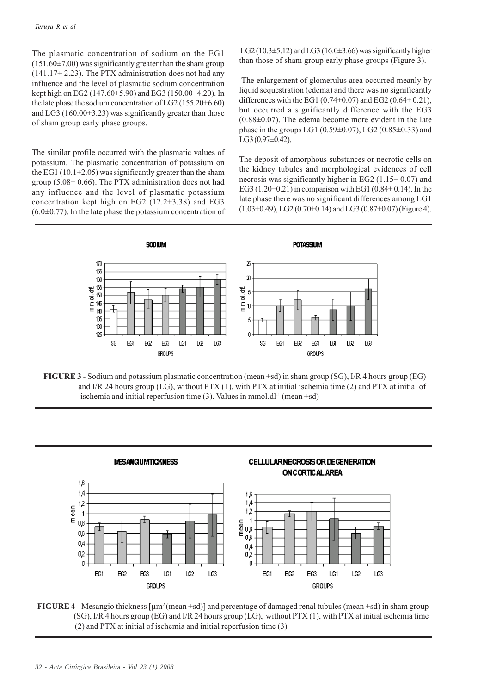The plasmatic concentration of sodium on the EG1  $(151.60\pm7.00)$  was significantly greater than the sham group  $(141.17\pm 2.23)$ . The PTX administration does not had any influence and the level of plasmatic sodium concentration kept high on EG2 (147.60±5.90) and EG3 (150.00±4.20). In the late phase the sodium concentration of LG2 (155.20±6.60) and LG3 (160.00±3.23) was significantly greater than those of sham group early phase groups.

The similar profile occurred with the plasmatic values of potassium. The plasmatic concentration of potassium on the EG1 (10.1 $\pm$ 2.05) was significantly greater than the sham group ( $5.08 \pm 0.66$ ). The PTX administration does not had any influence and the level of plasmatic potassium concentration kept high on EG2  $(12.2\pm3.38)$  and EG3  $(6.0\pm0.77)$ . In the late phase the potassium concentration of

LG2 (10.3 $\pm$ 5.12) and LG3 (16.0 $\pm$ 3.66) was significantly higher than those of sham group early phase groups (Figure 3).

 The enlargement of glomerulus area occurred meanly by liquid sequestration (edema) and there was no significantly differences with the EG1 (0.74 $\pm$ 0.07) and EG2 (0.64 $\pm$ 0.21), but occurred a significantly difference with the EG3  $(0.88±0.07)$ . The edema become more evident in the late phase in the groups LG1 (0.59 $\pm$ 0.07), LG2 (0.85 $\pm$ 0.33) and LG3 (0.97±0.42).

The deposit of amorphous substances or necrotic cells on the kidney tubules and morphological evidences of cell necrosis was significantly higher in EG2 (1.15 $\pm$  0.07) and EG3 (1.20 $\pm$ 0.21) in comparison with EG1 (0.84 $\pm$ 0.14). In the late phase there was no significant differences among LG1  $(1.03\pm0.49)$ , LG2  $(0.70\pm0.14)$  and LG3  $(0.87\pm0.07)$  (Figure 4).



**FIGURE 3** - Sodium and potassium plasmatic concentration (mean ±sd) in sham group (SG), I/R 4 hours group (EG) and I/R 24 hours group (LG), without PTX (1), with PTX at initial ischemia time (2) and PTX at initial of ischemia and initial reperfusion time (3). Values in mmol.dl<sup>-1</sup> (mean  $\pm$ sd)



**FIGURE 4** - Mesangio thickness  $[\mu m^2$  (mean  $\pm$ sd)] and percentage of damaged renal tubules (mean  $\pm$ sd) in sham group (SG), I/R 4 hours group (EG) and I/R 24 hours group (LG), without PTX (1), with PTX at initial ischemia time (2) and PTX at initial of ischemia and initial reperfusion time (3)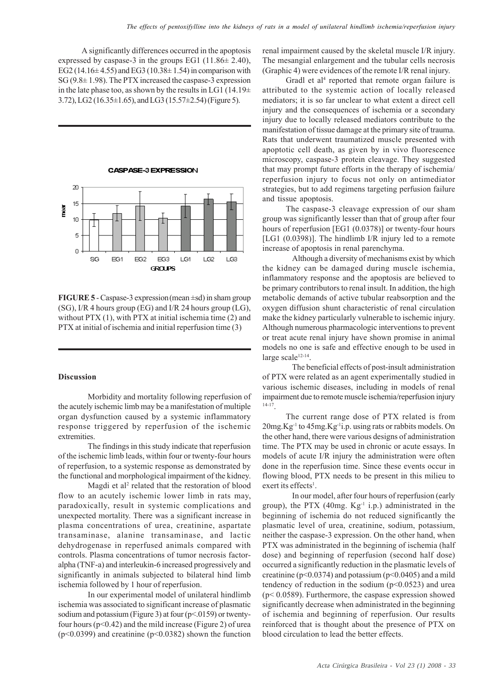A significantly differences occurred in the apoptosis expressed by caspase-3 in the groups EG1  $(11.86 \pm 2.40)$ , EG2 (14.16 $\pm$  4.55) and EG3 (10.38 $\pm$  1.54) in comparison with SG (9.8± 1.98). The PTX increased the caspase-3 expression in the late phase too, as shown by the results in LG1 (14.19 $\pm$ ) 3.72), LG2 (16.35±1.65), and LG3 (15.57±2.54) (Figure 5).



**FIGURE 5** - Caspase-3 expression(mean ±sd) in sham group (SG), I/R 4 hours group (EG) and I/R 24 hours group (LG), without PTX (1), with PTX at initial ischemia time (2) and PTX at initial of ischemia and initial reperfusion time (3)

#### **Discussion**

Morbidity and mortality following reperfusion of the acutely ischemic limb may be a manifestation of multiple organ dysfunction caused by a systemic inflammatory response triggered by reperfusion of the ischemic extremities.

The findings in this study indicate that reperfusion of the ischemic limb leads, within four or twenty-four hours of reperfusion, to a systemic response as demonstrated by the functional and morphological impairment of the kidney.

Magdi et al<sup>2</sup> related that the restoration of blood flow to an acutely ischemic lower limb in rats may, paradoxically, result in systemic complications and unexpected mortality. There was a significant increase in plasma concentrations of urea, creatinine, aspartate transaminase, alanine transaminase, and lactic dehydrogenase in reperfused animals compared with controls. Plasma concentrations of tumor necrosis factoralpha (TNF-a) and interleukin-6 increased progressively and significantly in animals subjected to bilateral hind limb ischemia followed by 1 hour of reperfusion.

In our experimental model of unilateral hindlimb ischemia was associated to significant increase of plasmatic sodium and potassium (Figure 3) at four  $(p<0.0159)$  or twentyfour hours ( $p<0.42$ ) and the mild increase (Figure 2) of urea (p<0.0399) and creatinine (p<0.0382) shown the function renal impairment caused by the skeletal muscle I/R injury. The mesangial enlargement and the tubular cells necrosis (Graphic 4) were evidences of the remote I/R renal injury.

Gradl et al<sup>4</sup> reported that remote organ failure is attributed to the systemic action of locally released mediators; it is so far unclear to what extent a direct cell injury and the consequences of ischemia or a secondary injury due to locally released mediators contribute to the manifestation of tissue damage at the primary site of trauma. Rats that underwent traumatized muscle presented with apoptotic cell death, as given by in vivo fluorescence microscopy, caspase-3 protein cleavage. They suggested that may prompt future efforts in the therapy of ischemia/ reperfusion injury to focus not only on antimediator strategies, but to add regimens targeting perfusion failure and tissue apoptosis.

The caspase-3 cleavage expression of our sham group was significantly lesser than that of group after four hours of reperfusion [EG1 (0.0378)] or twenty-four hours [LG1 (0.0398)]. The hindlimb I/R injury led to a remote increase of apoptosis in renal parenchyma.

Although a diversity of mechanisms exist by which the kidney can be damaged during muscle ischemia, inflammatory response and the apoptosis are believed to be primary contributors to renal insult. In addition, the high metabolic demands of active tubular reabsorption and the oxygen diffusion shunt characteristic of renal circulation make the kidney particularly vulnerable to ischemic injury. Although numerous pharmacologic interventions to prevent or treat acute renal injury have shown promise in animal models no one is safe and effective enough to be used in large scale<sup>12-14</sup>.

The beneficial effects of post-insult administration of PTX were related as an agent experimentally studied in various ischemic diseases, including in models of renal impairment due to remote muscle ischemia/reperfusion injury 14-17.

The current range dose of PTX related is from 20mg.Kg-1 to 45mg.Kg-1i.p. using rats or rabbits models. On the other hand, there were various designs of administration time. The PTX may be used in chronic or acute essays. In models of acute I/R injury the administration were often done in the reperfusion time. Since these events occur in flowing blood, PTX needs to be present in this milieu to exert its effects<sup>1</sup>.

In our model, after four hours of reperfusion (early group), the PTX  $(40mg. Kg<sup>-1</sup> i.p.)$  administrated in the beginning of ischemia do not reduced significantly the plasmatic level of urea, creatinine, sodium, potassium, neither the caspase-3 expression. On the other hand, when PTX was administrated in the beginning of ischemia (half dose) and beginning of reperfusion (second half dose) occurred a significantly reduction in the plasmatic levels of creatinine ( $p<0.0374$ ) and potassium ( $p<0.0405$ ) and a mild tendency of reduction in the sodium  $(p<0.0523)$  and urea (p< 0.0589). Furthermore, the caspase expression showed significantly decrease when administrated in the beginning of ischemia and beginning of reperfusion. Our results reinforced that is thought about the presence of PTX on blood circulation to lead the better effects.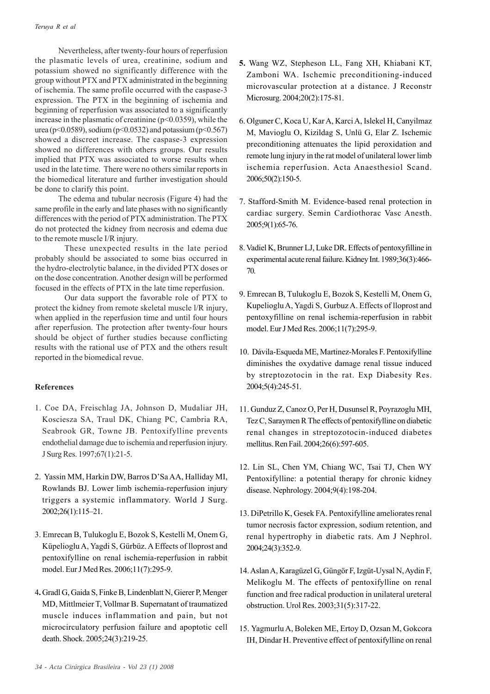Nevertheless, after twenty-four hours of reperfusion the plasmatic levels of urea, creatinine, sodium and potassium showed no significantly difference with the group without PTX and PTX administrated in the beginning of ischemia. The same profile occurred with the caspase-3 expression. The PTX in the beginning of ischemia and beginning of reperfusion was associated to a significantly increase in the plasmatic of creatinine  $(p<0.0359)$ , while the urea (p<0.0589), sodium (p<0.0532) and potassium (p<0.567) showed a discreet increase. The caspase-3 expression showed no differences with others groups. Our results implied that PTX was associated to worse results when used in the late time. There were no others similar reports in the biomedical literature and further investigation should be done to clarify this point.

The edema and tubular necrosis (Figure 4) had the same profile in the early and late phases with no significantly differences with the period of PTX administration. The PTX do not protected the kidney from necrosis and edema due to the remote muscle I/R injury.

These unexpected results in the late period probably should be associated to some bias occurred in the hydro-electrolytic balance, in the divided PTX doses or on the dose concentration. Another design will be performed focused in the effects of PTX in the late time reperfusion.

Our data support the favorable role of PTX to protect the kidney from remote skeletal muscle l/R injury, when applied in the reperfusion time and until four hours after reperfusion. The protection after twenty-four hours should be object of further studies because conflicting results with the rational use of PTX and the others result reported in the biomedical revue.

## **References**

- 1. Coe DA, Freischlag JA, Johnson D, Mudaliar JH, Kosciesza SA, Traul DK, Chiang PC, Cambria RA, Seabrook GR, Towne JB. Pentoxifylline prevents endothelial damage due to ischemia and reperfusion injury. J Surg Res. 1997;67(1):21-5.
- 2. Yassin MM, Harkin DW, Barros D'Sa AA, Halliday MI, Rowlands BJ. Lower limb ischemia-reperfusion injury triggers a systemic inflammatory. World J Surg. 2002;26(1):115–21.
- 3. Emrecan B, Tulukoglu E, Bozok S, Kestelli M, Onem G, Küpelioglu A, Yagdi S, Gürbüz. A Effects of lloprost and pentoxifylline on renal ischemia-reperfusion in rabbit model. Eur J Med Res. 2006;11(7):295-9.
- 4**.** Gradl G, Gaida S, Finke B, Lindenblatt N, Gierer P, Menger MD, Mittlmeier T, Vollmar B. Supernatant of traumatized muscle induces inflammation and pain, but not microcirculatory perfusion failure and apoptotic cell death. Shock. 2005;24(3):219-25.
- **5.** Wang WZ, Stepheson LL, Fang XH, Khiabani KT, Zamboni WA. Ischemic preconditioning-induced microvascular protection at a distance. J Reconstr Microsurg. 2004;20(2):175-81.
- 6. Olguner C, Koca U, Kar A, Karci A, Islekel H, Canyilmaz M, Mavioglu O, Kizildag S, Unlü G, Elar Z. Ischemic preconditioning attenuates the lipid peroxidation and remote lung injury in the rat model of unilateral lower limb ischemia reperfusion. Acta Anaesthesiol Scand. 2006;50(2):150-5.
- 7. Stafford-Smith M. Evidence-based renal protection in cardiac surgery. Semin Cardiothorac Vasc Anesth. 2005;9(1):65-76.
- 8. Vadiel K, Brunner LJ, Luke DR. Effects of pentoxyfilline in experimental acute renal failure. Kidney Int. 1989;36(3):466- 70.
- 9. Emrecan B, Tulukoglu E, Bozok S, Kestelli M, Onem G, Kupelioglu A, Yagdi S, Gurbuz A. Effects of lloprost and pentoxyfilline on renal ischemia-reperfusion in rabbit model. Eur J Med Res. 2006;11(7):295-9.
- 10. Dávila-Esqueda ME, Martinez-Morales F. Pentoxifylline diminishes the oxydative damage renal tissue induced by streptozotocin in the rat. Exp Diabesity Res. 2004;5(4):245-51.
- 11. Gunduz Z, Canoz O, Per H, Dusunsel R, Poyrazoglu MH, Tez C, Saraymen R The effects of pentoxifylline on diabetic renal changes in streptozotocin-induced diabetes mellitus. Ren Fail. 2004;26(6):597-605.
- 12. Lin SL, Chen YM, Chiang WC, Tsai TJ, Chen WY Pentoxifylline: a potential therapy for chronic kidney disease. Nephrology. 2004;9(4):198-204.
- 13. DiPetrillo K, Gesek FA. Pentoxifylline ameliorates renal tumor necrosis factor expression, sodium retention, and renal hypertrophy in diabetic rats. Am J Nephrol. 2004;24(3):352-9.
- 14. Aslan A, Karagüzel G, Güngör F, Izgüt-Uysal N, Aydin F, Melikoglu M. The effects of pentoxifylline on renal function and free radical production in unilateral ureteral obstruction. Urol Res. 2003;31(5):317-22.
- 15. Yagmurlu A, Boleken ME, Ertoy D, Ozsan M, Gokcora IH, Dindar H. Preventive effect of pentoxifylline on renal